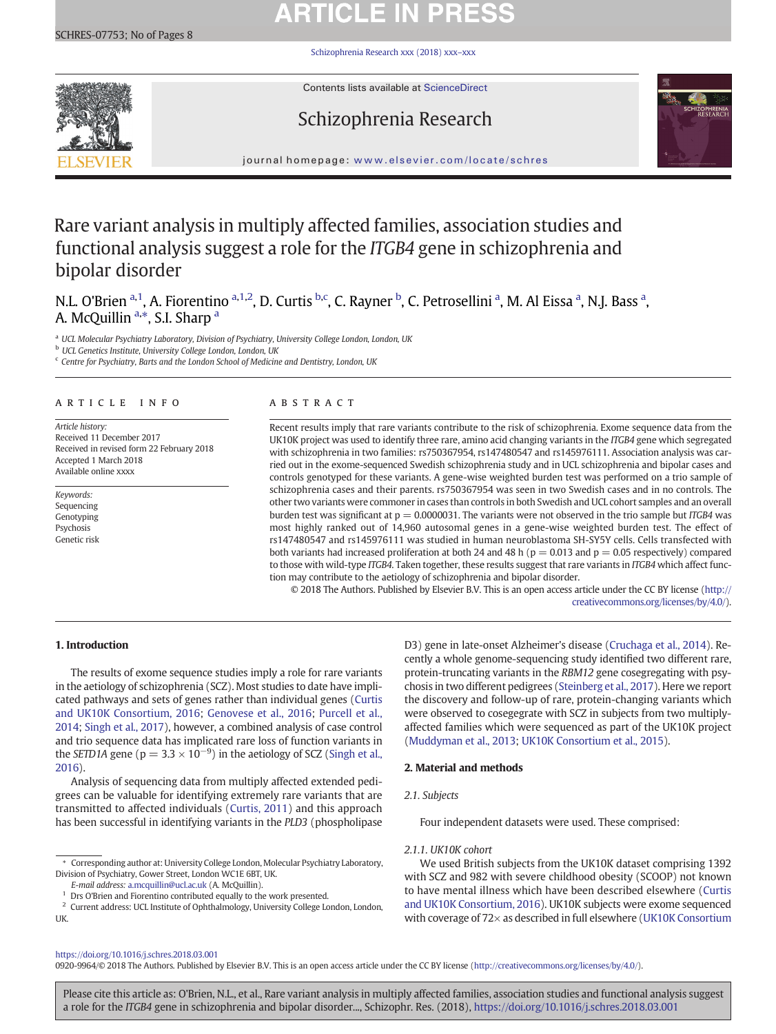# **ARTICLE IN PRESS**

[Schizophrenia Research xxx \(2018\) xxx](https://doi.org/10.1016/j.schres.2018.03.001)–xxx



Contents lists available at ScienceDirect

# Schizophrenia Research



journal homepage: <www.elsevier.com/locate/schres>

# Rare variant analysis in multiply affected families, association studies and functional analysis suggest a role for the ITGΒ4 gene in schizophrenia and bipolar disorder

N.L. O'Brien <sup>a, 1</sup>, A. Fiorentino <sup>a, 1, 2</sup>, D. Curtis <sup>b, c</sup>, C. Rayner <sup>b</sup>, C. Petrosellini <sup>a</sup>, M. Al Eissa <sup>a</sup>, N.J. Bass <sup>a</sup>, A. McQuillin <sup>a,\*</sup>, S.I. Sharp <sup>a</sup>

a UCL Molecular Psychiatry Laboratory, Division of Psychiatry, University College London, London, UK

<sup>b</sup> UCL Genetics Institute, University College London, London, UK

 $c$  Centre for Psychiatry, Barts and the London School of Medicine and Dentistry, London, UK

# article info abstract

Article history: Received 11 December 2017 Received in revised form 22 February 2018 Accepted 1 March 2018 Available online xxxx

Keywords: Sequencing Genotyping Psychosis Genetic risk

Recent results imply that rare variants contribute to the risk of schizophrenia. Exome sequence data from the UK10K project was used to identify three rare, amino acid changing variants in the ITGB4 gene which segregated with schizophrenia in two families: rs750367954, rs147480547 and rs145976111. Association analysis was carried out in the exome-sequenced Swedish schizophrenia study and in UCL schizophrenia and bipolar cases and controls genotyped for these variants. A gene-wise weighted burden test was performed on a trio sample of schizophrenia cases and their parents. rs750367954 was seen in two Swedish cases and in no controls. The other two variants were commoner in cases than controls in both Swedish and UCL cohort samples and an overall burden test was significant at  $p = 0.0000031$ . The variants were not observed in the trio sample but ITGB4 was most highly ranked out of 14,960 autosomal genes in a gene-wise weighted burden test. The effect of rs147480547 and rs145976111 was studied in human neuroblastoma SH-SY5Y cells. Cells transfected with both variants had increased proliferation at both 24 and 48 h ( $p = 0.013$  and  $p = 0.05$  respectively) compared to those with wild-type ITGB4. Taken together, these results suggest that rare variants in ITGB4 which affect function may contribute to the aetiology of schizophrenia and bipolar disorder.

© 2018 The Authors. Published by Elsevier B.V. This is an open access article under the CC BY license [\(http://](http://creativecommons.org/licenses/by/4.0/) [creativecommons.org/licenses/by/4.0/\)](http://creativecommons.org/licenses/by/4.0/).

# 1. Introduction

The results of exome sequence studies imply a role for rare variants in the aetiology of schizophrenia (SCZ). Most studies to date have implicated pathways and sets of genes rather than individual genes [\(Curtis](#page-6-0) [and UK10K Consortium, 2016;](#page-6-0) [Genovese et al., 2016](#page-6-0); [Purcell et al.,](#page-7-0) [2014](#page-7-0); [Singh et al., 2017\)](#page-7-0), however, a combined analysis of case control and trio sequence data has implicated rare loss of function variants in the SETD1A gene ( $p = 3.3 \times 10^{-9}$ ) in the aetiology of SCZ ([Singh et al.,](#page-7-0) [2016](#page-7-0)).

Analysis of sequencing data from multiply affected extended pedigrees can be valuable for identifying extremely rare variants that are transmitted to affected individuals ([Curtis, 2011](#page-6-0)) and this approach has been successful in identifying variants in the PLD3 (phospholipase

E-mail address: [a.mcquillin@ucl.ac.uk](mailto:a.mcquillin@ucl.ac.uk) (A. McQuillin).

D3) gene in late-onset Alzheimer's disease [\(Cruchaga et al., 2014](#page-6-0)). Recently a whole genome-sequencing study identified two different rare, protein-truncating variants in the RBM12 gene cosegregating with psychosis in two different pedigrees [\(Steinberg et al., 2017\)](#page-7-0). Here we report the discovery and follow-up of rare, protein-changing variants which were observed to cosegegrate with SCZ in subjects from two multiplyaffected families which were sequenced as part of the UK10K project [\(Muddyman et al., 2013;](#page-6-0) [UK10K Consortium et al., 2015](#page-7-0)).

# 2. Material and methods

Four independent datasets were used. These comprised:

# 2.1.1. UK10K cohort

We used British subjects from the UK10K dataset comprising 1392 with SCZ and 982 with severe childhood obesity (SCOOP) not known to have mental illness which have been described elsewhere ([Curtis](#page-6-0) [and UK10K Consortium, 2016\)](#page-6-0). UK10K subjects were exome sequenced with coverage of 72 $\times$  as described in full elsewhere [\(UK10K Consortium](#page-7-0)

# <https://doi.org/10.1016/j.schres.2018.03.001>

0920-9964/© 2018 The Authors. Published by Elsevier B.V. This is an open access article under the CC BY license [\(http://creativecommons.org/licenses/by/4.0/](http://creativecommons.org/licenses/by/4.0/)).

<sup>⁎</sup> Corresponding author at: University College London, Molecular Psychiatry Laboratory, Division of Psychiatry, Gower Street, London WC1E 6BT, UK.

Drs O'Brien and Fiorentino contributed equally to the work presented.

 $^{\rm 2}$  Current address: UCL Institute of Ophthalmology, University College London, London, UK.

<sup>2.1.</sup> Subjects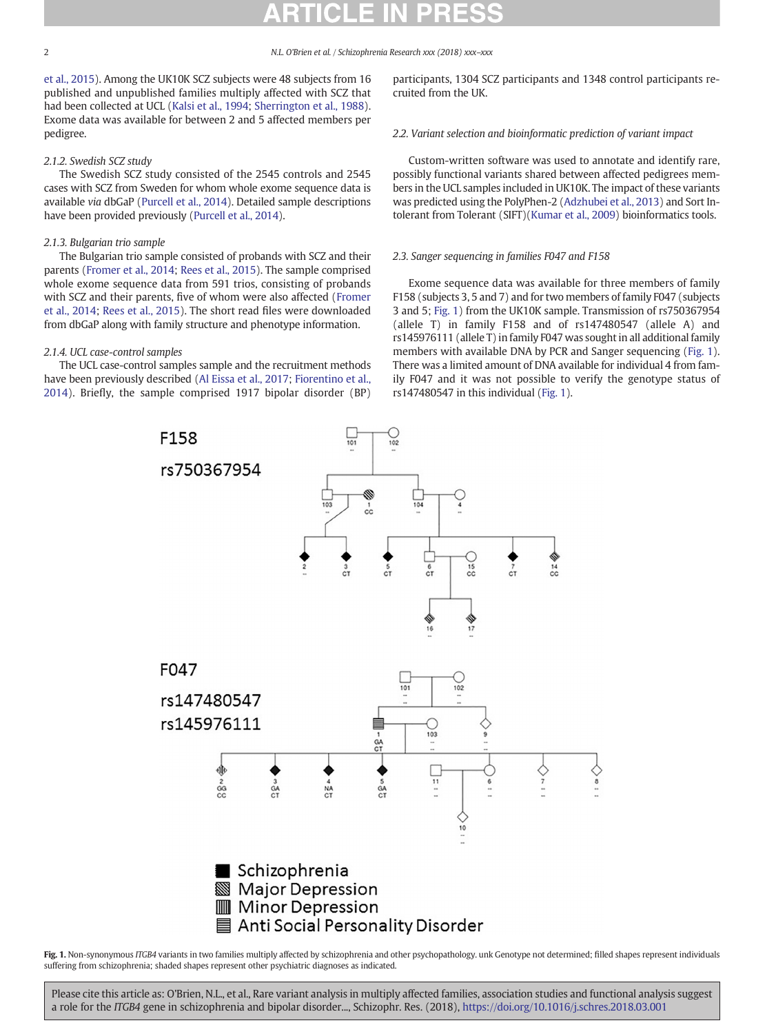<span id="page-1-0"></span>

[et al., 2015\)](#page-7-0). Among the UK10K SCZ subjects were 48 subjects from 16 published and unpublished families multiply affected with SCZ that had been collected at UCL [\(Kalsi et al., 1994;](#page-6-0) [Sherrington et al., 1988](#page-7-0)). Exome data was available for between 2 and 5 affected members per pedigree.

# 2.1.2. Swedish SCZ study

The Swedish SCZ study consisted of the 2545 controls and 2545 cases with SCZ from Sweden for whom whole exome sequence data is available via dbGaP ([Purcell et al., 2014](#page-7-0)). Detailed sample descriptions have been provided previously ([Purcell et al., 2014\)](#page-7-0).

# 2.1.3. Bulgarian trio sample

The Bulgarian trio sample consisted of probands with SCZ and their parents [\(Fromer et al., 2014;](#page-6-0) [Rees et al., 2015](#page-7-0)). The sample comprised whole exome sequence data from 591 trios, consisting of probands with SCZ and their parents, five of whom were also affected [\(Fromer](#page-6-0) [et al., 2014;](#page-6-0) [Rees et al., 2015](#page-7-0)). The short read files were downloaded from dbGaP along with family structure and phenotype information.

# 2.1.4. UCL case-control samples

The UCL case-control samples sample and the recruitment methods have been previously described ([Al Eissa et al., 2017;](#page-6-0) [Fiorentino et al.,](#page-6-0) [2014](#page-6-0)). Briefly, the sample comprised 1917 bipolar disorder (BP) participants, 1304 SCZ participants and 1348 control participants recruited from the UK.

# 2.2. Variant selection and bioinformatic prediction of variant impact

Custom-written software was used to annotate and identify rare, possibly functional variants shared between affected pedigrees members in the UCL samples included in UK10K. The impact of these variants was predicted using the PolyPhen-2 [\(Adzhubei et al., 2013](#page-6-0)) and Sort Intolerant from Tolerant (SIFT)([Kumar et al., 2009](#page-6-0)) bioinformatics tools.

# 2.3. Sanger sequencing in families F047 and F158

Exome sequence data was available for three members of family F158 (subjects 3, 5 and 7) and for two members of family F047 (subjects 3 and 5; Fig. 1) from the UK10K sample. Transmission of rs750367954 (allele T) in family F158 and of rs147480547 (allele A) and rs145976111 (allele T) in family F047 was sought in all additional family members with available DNA by PCR and Sanger sequencing (Fig. 1). There was a limited amount of DNA available for individual 4 from family F047 and it was not possible to verify the genotype status of rs147480547 in this individual (Fig. 1).



Fig. 1. Non-synonymous ITGB4 variants in two families multiply affected by schizophrenia and other psychopathology. unk Genotype not determined; filled shapes represent individuals suffering from schizophrenia; shaded shapes represent other psychiatric diagnoses as indicated.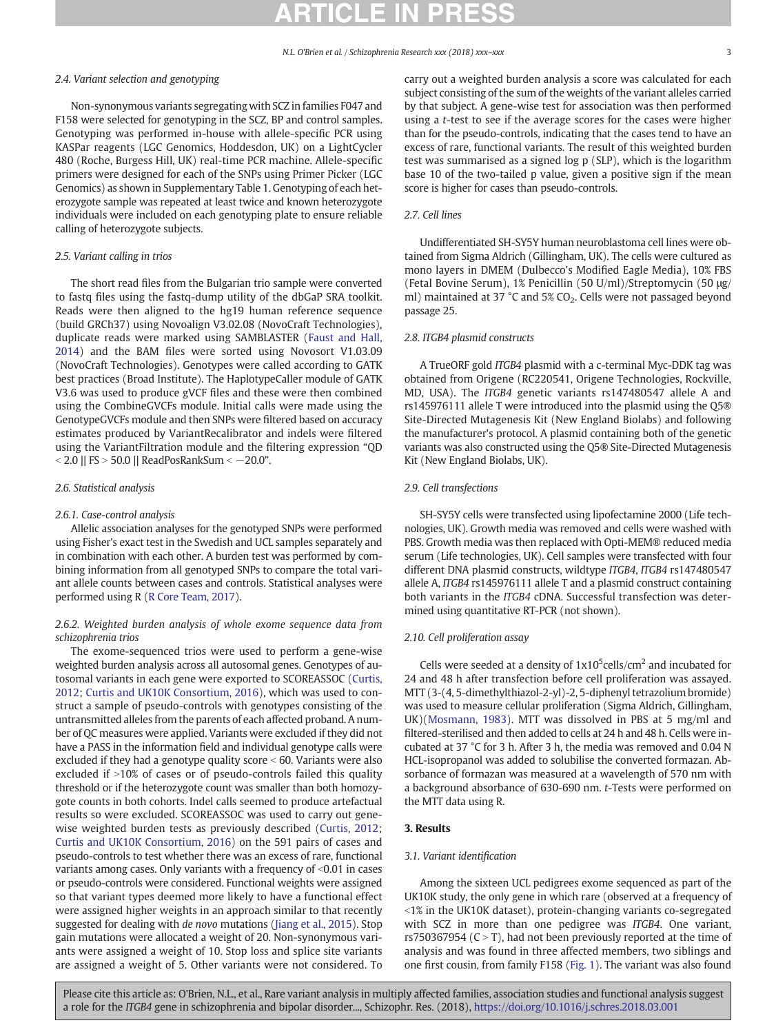# 2.4. Variant selection and genotyping

Non-synonymous variants segregating with SCZ in families F047 and F158 were selected for genotyping in the SCZ, BP and control samples. Genotyping was performed in-house with allele-specific PCR using KASPar reagents (LGC Genomics, Hoddesdon, UK) on a LightCycler 480 (Roche, Burgess Hill, UK) real-time PCR machine. Allele-specific primers were designed for each of the SNPs using Primer Picker (LGC Genomics) as shown in Supplementary Table 1. Genotyping of each heterozygote sample was repeated at least twice and known heterozygote individuals were included on each genotyping plate to ensure reliable calling of heterozygote subjects.

# 2.5. Variant calling in trios

The short read files from the Bulgarian trio sample were converted to fastq files using the fastq-dump utility of the dbGaP SRA toolkit. Reads were then aligned to the hg19 human reference sequence (build GRCh37) using Novoalign V3.02.08 (NovoCraft Technologies), duplicate reads were marked using SAMBLASTER ([Faust and Hall,](#page-6-0) [2014\)](#page-6-0) and the BAM files were sorted using Novosort V1.03.09 (NovoCraft Technologies). Genotypes were called according to GATK best practices (Broad Institute). The HaplotypeCaller module of GATK V3.6 was used to produce gVCF files and these were then combined using the CombineGVCFs module. Initial calls were made using the GenotypeGVCFs module and then SNPs were filtered based on accuracy estimates produced by VariantRecalibrator and indels were filtered using the VariantFiltration module and the filtering expression "QD b 2.0 || FS N 50.0 || ReadPosRankSum b −20.0".

# 2.6. Statistical analysis

#### 2.6.1. Case-control analysis

Allelic association analyses for the genotyped SNPs were performed using Fisher's exact test in the Swedish and UCL samples separately and in combination with each other. A burden test was performed by combining information from all genotyped SNPs to compare the total variant allele counts between cases and controls. Statistical analyses were performed using R [\(R Core Team, 2017](#page-7-0)).

# 2.6.2. Weighted burden analysis of whole exome sequence data from schizophrenia trios

The exome-sequenced trios were used to perform a gene-wise weighted burden analysis across all autosomal genes. Genotypes of autosomal variants in each gene were exported to SCOREASSOC [\(Curtis,](#page-6-0) [2012;](#page-6-0) [Curtis and UK10K Consortium, 2016\)](#page-6-0), which was used to construct a sample of pseudo-controls with genotypes consisting of the untransmitted alleles from the parents of each affected proband. A number of QC measures were applied. Variants were excluded if they did not have a PASS in the information field and individual genotype calls were excluded if they had a genotype quality score  $<$  60. Variants were also excluded if  $>10\%$  of cases or of pseudo-controls failed this quality threshold or if the heterozygote count was smaller than both homozygote counts in both cohorts. Indel calls seemed to produce artefactual results so were excluded. SCOREASSOC was used to carry out genewise weighted burden tests as previously described ([Curtis, 2012;](#page-6-0) [Curtis and UK10K Consortium, 2016\)](#page-6-0) on the 591 pairs of cases and pseudo-controls to test whether there was an excess of rare, functional variants among cases. Only variants with a frequency of  $<$ 0.01 in cases or pseudo-controls were considered. Functional weights were assigned so that variant types deemed more likely to have a functional effect were assigned higher weights in an approach similar to that recently suggested for dealing with de novo mutations [\(Jiang et al., 2015](#page-6-0)). Stop gain mutations were allocated a weight of 20. Non-synonymous variants were assigned a weight of 10. Stop loss and splice site variants are assigned a weight of 5. Other variants were not considered. To

carry out a weighted burden analysis a score was calculated for each subject consisting of the sum of the weights of the variant alleles carried by that subject. A gene-wise test for association was then performed using a t-test to see if the average scores for the cases were higher than for the pseudo-controls, indicating that the cases tend to have an excess of rare, functional variants. The result of this weighted burden test was summarised as a signed log p (SLP), which is the logarithm base 10 of the two-tailed p value, given a positive sign if the mean

#### 2.7. Cell lines

Undifferentiated SH-SY5Y human neuroblastoma cell lines were obtained from Sigma Aldrich (Gillingham, UK). The cells were cultured as mono layers in DMEM (Dulbecco's Modified Eagle Media), 10% FBS (Fetal Bovine Serum), 1% Penicillin (50 U/ml)/Streptomycin (50 μg/ ml) maintained at 37  $^{\circ}$ C and 5% CO<sub>2</sub>. Cells were not passaged beyond passage 25.

## 2.8. ITGB4 plasmid constructs

score is higher for cases than pseudo-controls.

A TrueORF gold ITGB4 plasmid with a c-terminal Myc-DDK tag was obtained from Origene (RC220541, Origene Technologies, Rockville, MD, USA). The ITGB4 genetic variants rs147480547 allele A and rs145976111 allele T were introduced into the plasmid using the Q5® Site-Directed Mutagenesis Kit (New England Biolabs) and following the manufacturer's protocol. A plasmid containing both of the genetic variants was also constructed using the Q5® Site-Directed Mutagenesis Kit (New England Biolabs, UK).

# 2.9. Cell transfections

SH-SY5Y cells were transfected using lipofectamine 2000 (Life technologies, UK). Growth media was removed and cells were washed with PBS. Growth media was then replaced with Opti-MEM® reduced media serum (Life technologies, UK). Cell samples were transfected with four different DNA plasmid constructs, wildtype ITGB4, ITGB4 rs147480547 allele A, ITGB4 rs145976111 allele T and a plasmid construct containing both variants in the ITGB4 cDNA. Successful transfection was determined using quantitative RT-PCR (not shown).

# 2.10. Cell proliferation assay

Cells were seeded at a density of  $1x10^5$ cells/cm<sup>2</sup> and incubated for 24 and 48 h after transfection before cell proliferation was assayed. MTT (3-(4, 5-dimethylthiazol-2-yl)-2, 5-diphenyl tetrazolium bromide) was used to measure cellular proliferation (Sigma Aldrich, Gillingham, UK)([Mosmann, 1983](#page-6-0)). MTT was dissolved in PBS at 5 mg/ml and filtered-sterilised and then added to cells at 24 h and 48 h. Cells were incubated at 37 °C for 3 h. After 3 h, the media was removed and 0.04 N HCL-isopropanol was added to solubilise the converted formazan. Absorbance of formazan was measured at a wavelength of 570 nm with a background absorbance of 630-690 nm. t-Tests were performed on the MTT data using R.

### 3. Results

### 3.1. Variant identification

Among the sixteen UCL pedigrees exome sequenced as part of the UK10K study, the only gene in which rare (observed at a frequency of  $\leq$ 1% in the UK10K dataset), protein-changing variants co-segregated with SCZ in more than one pedigree was ITGB4. One variant, rs750367954 ( $C > T$ ), had not been previously reported at the time of analysis and was found in three affected members, two siblings and one first cousin, from family F158 ([Fig. 1\)](#page-1-0). The variant was also found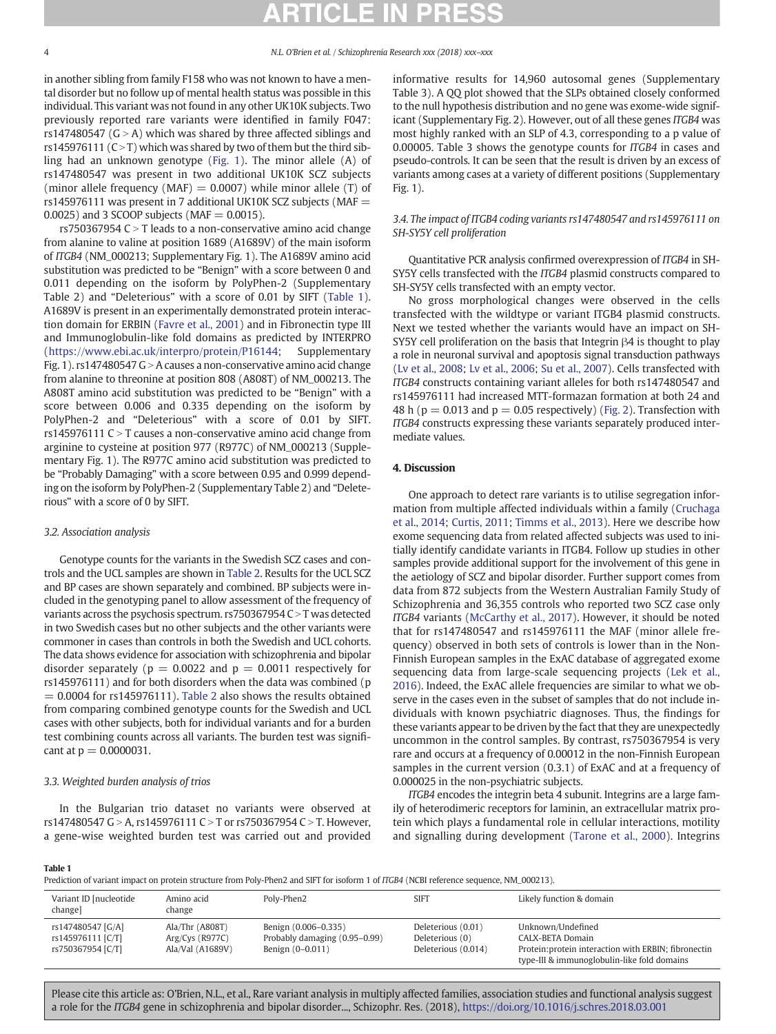in another sibling from family F158 who was not known to have a mental disorder but no follow up of mental health status was possible in this individual. This variant was not found in any other UK10K subjects. Two previously reported rare variants were identified in family F047: rs147480547 ( $G > A$ ) which was shared by three affected siblings and rs145976111 ( $C > T$ ) which was shared by two of them but the third sibling had an unknown genotype [\(Fig. 1](#page-1-0)). The minor allele (A) of rs147480547 was present in two additional UK10K SCZ subjects (minor allele frequency (MAF) =  $0.0007$ ) while minor allele (T) of rs145976111 was present in 7 additional UK10K SCZ subjects ( $MAF =$ 0.0025) and 3 SCOOP subjects (MAF  $= 0.0015$ ).

rs750367954 C  $>$  T leads to a non-conservative amino acid change from alanine to valine at position 1689 (A1689V) of the main isoform of ITGΒ4 (NM\_000213; Supplementary Fig. 1). The A1689V amino acid substitution was predicted to be "Benign" with a score between 0 and 0.011 depending on the isoform by PolyPhen-2 (Supplementary Table 2) and "Deleterious" with a score of 0.01 by SIFT (Table 1). A1689V is present in an experimentally demonstrated protein interaction domain for ERBIN ([Favre et al., 2001\)](#page-6-0) and in Fibronectin type III and Immunoglobulin-like fold domains as predicted by INTERPRO [\(https://www.ebi.ac.uk/interpro/protein/P16144](https://www.ebi.ac.uk/interpro/protein/P16144); Supplementary Fig. 1).  $rs147480547 G > A$  causes a non-conservative amino acid change from alanine to threonine at position 808 (A808T) of NM\_000213. The A808T amino acid substitution was predicted to be "Benign" with a score between 0.006 and 0.335 depending on the isoform by PolyPhen-2 and "Deleterious" with a score of 0.01 by SIFT. rs145976111  $C > T$  causes a non-conservative amino acid change from arginine to cysteine at position 977 (R977C) of NM\_000213 (Supplementary Fig. 1). The R977C amino acid substitution was predicted to be "Probably Damaging" with a score between 0.95 and 0.999 depending on the isoform by PolyPhen-2 (Supplementary Table 2) and "Deleterious" with a score of 0 by SIFT.

### 3.2. Association analysis

Genotype counts for the variants in the Swedish SCZ cases and controls and the UCL samples are shown in [Table 2.](#page-4-0) Results for the UCL SCZ and BP cases are shown separately and combined. BP subjects were included in the genotyping panel to allow assessment of the frequency of variants across the psychosis spectrum.  $rs750367954 C > T$  was detected in two Swedish cases but no other subjects and the other variants were commoner in cases than controls in both the Swedish and UCL cohorts. The data shows evidence for association with schizophrenia and bipolar disorder separately ( $p = 0.0022$  and  $p = 0.0011$  respectively for rs145976111) and for both disorders when the data was combined (p  $= 0.0004$  for rs145976111). [Table 2](#page-4-0) also shows the results obtained from comparing combined genotype counts for the Swedish and UCL cases with other subjects, both for individual variants and for a burden test combining counts across all variants. The burden test was significant at  $p = 0.0000031$ .

### 3.3. Weighted burden analysis of trios

In the Bulgarian trio dataset no variants were observed at rs147480547 G > A, rs145976111 C > T or rs750367954 C > T. However, a gene-wise weighted burden test was carried out and provided

informative results for 14,960 autosomal genes (Supplementary Table 3). A QQ plot showed that the SLPs obtained closely conformed to the null hypothesis distribution and no gene was exome-wide significant (Supplementary Fig. 2). However, out of all these genes ITGΒ4 was most highly ranked with an SLP of 4.3, corresponding to a p value of 0.00005. Table 3 shows the genotype counts for ITGΒ4 in cases and pseudo-controls. It can be seen that the result is driven by an excess of variants among cases at a variety of different positions (Supplementary Fig. 1).

# 3.4. The impact of ITGB4 coding variants rs147480547 and rs145976111 on SH-SY5Y cell proliferation

Quantitative PCR analysis confirmed overexpression of ITGΒ4 in SH-SY5Y cells transfected with the ITGB4 plasmid constructs compared to SH-SY5Y cells transfected with an empty vector.

No gross morphological changes were observed in the cells transfected with the wildtype or variant ITGB4 plasmid constructs. Next we tested whether the variants would have an impact on SH-SY5Y cell proliferation on the basis that Integrin β4 is thought to play a role in neuronal survival and apoptosis signal transduction pathways [\(Lv et al., 2008](#page-6-0); [Lv et al., 2006;](#page-6-0) [Su et al., 2007](#page-7-0)). Cells transfected with ITGB4 constructs containing variant alleles for both rs147480547 and rs145976111 had increased MTT-formazan formation at both 24 and 48 h ( $p = 0.013$  and  $p = 0.05$  respectively) ([Fig. 2\)](#page-5-0). Transfection with ITGB4 constructs expressing these variants separately produced intermediate values.

# 4. Discussion

One approach to detect rare variants is to utilise segregation information from multiple affected individuals within a family ([Cruchaga](#page-6-0) [et al., 2014;](#page-6-0) [Curtis, 2011;](#page-6-0) [Timms et al., 2013](#page-7-0)). Here we describe how exome sequencing data from related affected subjects was used to initially identify candidate variants in ITGB4. Follow up studies in other samples provide additional support for the involvement of this gene in the aetiology of SCZ and bipolar disorder. Further support comes from data from 872 subjects from the Western Australian Family Study of Schizophrenia and 36,355 controls who reported two SCZ case only ITGB4 variants ([McCarthy et al., 2017\)](#page-6-0). However, it should be noted that for rs147480547 and rs145976111 the MAF (minor allele frequency) observed in both sets of controls is lower than in the Non-Finnish European samples in the ExAC database of aggregated exome sequencing data from large-scale sequencing projects ([Lek et al.,](#page-6-0) [2016\)](#page-6-0). Indeed, the ExAC allele frequencies are similar to what we observe in the cases even in the subset of samples that do not include individuals with known psychiatric diagnoses. Thus, the findings for these variants appear to be driven by the fact that they are unexpectedly uncommon in the control samples. By contrast, rs750367954 is very rare and occurs at a frequency of 0.00012 in the non-Finnish European samples in the current version (0.3.1) of ExAC and at a frequency of 0.000025 in the non-psychiatric subjects.

ITGB4 encodes the integrin beta 4 subunit. Integrins are a large family of heterodimeric receptors for laminin, an extracellular matrix protein which plays a fundamental role in cellular interactions, motility and signalling during development [\(Tarone et al., 2000](#page-7-0)). Integrins

### Table 1

Prediction of variant impact on protein structure from Poly-Phen2 and SIFT for isoform 1 of *ITGB4* (NCBI reference sequence, NM\_000213).

| Variant ID [nucleotide]<br>change]                          | Amino acid<br>change                                     | Poly-Phen2                                                                | <b>SIFT</b>                                                  | Likely function & domain                                                                                                                     |
|-------------------------------------------------------------|----------------------------------------------------------|---------------------------------------------------------------------------|--------------------------------------------------------------|----------------------------------------------------------------------------------------------------------------------------------------------|
| rs147480547 [G/A]<br>rs145976111 [C/T]<br>rs750367954 [C/T] | Ala/Thr (A808T)<br>$Arg/Cys$ (R977C)<br>Ala/Val (A1689V) | Benign (0.006-0.335)<br>Probably damaging (0.95-0.99)<br>Benign (0-0.011) | Deleterious (0.01)<br>Deleterious (0)<br>Deleterious (0.014) | Unknown/Undefined<br>CALX-BETA Domain<br>Protein: protein interaction with ERBIN; fibronectin<br>type-III & immunoglobulin-like fold domains |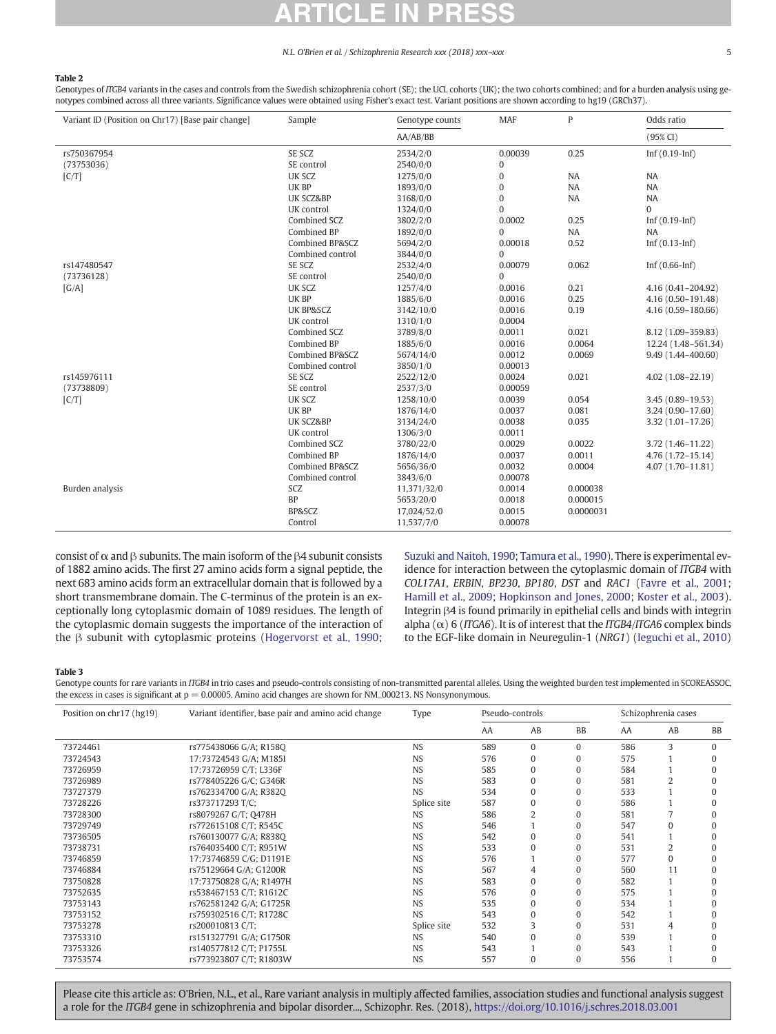# <span id="page-4-0"></span>Table 2

Genotypes of ITGB4 variants in the cases and controls from the Swedish schizophrenia cohort (SE); the UCL cohorts (UK); the two cohorts combined; and for a burden analysis using genotypes combined across all three variants. Significance values were obtained using Fisher's exact test. Variant positions are shown according to hg19 (GRCh37).

| Variant ID (Position on Chr17) [Base pair change] | Sample                     | Genotype counts | <b>MAF</b>     | P         | Odds ratio           |
|---------------------------------------------------|----------------------------|-----------------|----------------|-----------|----------------------|
|                                                   |                            | AA/AB/BB        |                |           | $(95\% CI)$          |
| rs750367954                                       | SE SCZ                     | 2534/2/0        | 0.00039        | 0.25      | Inf $(0.19$ -Inf $)$ |
| (73753036)                                        | SE control                 | 2540/0/0        | 0              |           |                      |
| [C/T]                                             | UK SCZ                     | 1275/0/0        | 0              | NA        | <b>NA</b>            |
|                                                   | UK BP                      | 1893/0/0        | 0              | <b>NA</b> | <b>NA</b>            |
|                                                   | <b>UK SCZ&amp;BP</b>       | 3168/0/0        | $\overline{0}$ | <b>NA</b> | <b>NA</b>            |
|                                                   | UK control                 | 1324/0/0        | $\Omega$       |           | $\Omega$             |
|                                                   | Combined SCZ               | 3802/2/0        | 0.0002         | 0.25      | Inf $(0.19$ -Inf     |
|                                                   | Combined BP                | 1892/0/0        | $\Omega$       | NA        | <b>NA</b>            |
|                                                   | <b>Combined BP&amp;SCZ</b> | 5694/2/0        | 0.00018        | 0.52      | $Inf(0.13-Inf)$      |
|                                                   | Combined control           | 3844/0/0        | $\Omega$       |           |                      |
| rs147480547                                       | SE SCZ                     | 2532/4/0        | 0.00079        | 0.062     | Inf $(0.66$ -Inf)    |
| (73736128)                                        | SE control                 | 2540/0/0        | $\Omega$       |           |                      |
| [G/A]                                             | UK SCZ                     | 1257/4/0        | 0.0016         | 0.21      | 4.16 (0.41-204.92)   |
|                                                   | UK BP                      | 1885/6/0        | 0.0016         | 0.25      | 4.16 (0.50-191.48)   |
|                                                   | UK BP&SCZ                  | 3142/10/0       | 0.0016         | 0.19      | 4.16 (0.59-180.66)   |
|                                                   | UK control                 | 1310/1/0        | 0.0004         |           |                      |
|                                                   | Combined SCZ               | 3789/8/0        | 0.0011         | 0.021     | 8.12 (1.09-359.83)   |
|                                                   | Combined BP                | 1885/6/0        | 0.0016         | 0.0064    | 12.24 (1.48-561.34)  |
|                                                   | <b>Combined BP&amp;SCZ</b> | 5674/14/0       | 0.0012         | 0.0069    | 9.49 (1.44-400.60)   |
|                                                   | Combined control           | 3850/1/0        | 0.00013        |           |                      |
| rs145976111                                       | SE SCZ                     | 2522/12/0       | 0.0024         | 0.021     | 4.02 (1.08-22.19)    |
| (73738809)                                        | SE control                 | 2537/3/0        | 0.00059        |           |                      |
| [C/T]                                             | UK SCZ                     | 1258/10/0       | 0.0039         | 0.054     | $3.45(0.89 - 19.53)$ |
|                                                   | UK BP                      | 1876/14/0       | 0.0037         | 0.081     | $3.24(0.90 - 17.60)$ |
|                                                   | <b>UK SCZ&amp;BP</b>       | 3134/24/0       | 0.0038         | 0.035     | $3.32(1.01 - 17.26)$ |
|                                                   | UK control                 | 1306/3/0        | 0.0011         |           |                      |
|                                                   | Combined SCZ               | 3780/22/0       | 0.0029         | 0.0022    | 3.72 (1.46-11.22)    |
|                                                   | Combined BP                | 1876/14/0       | 0.0037         | 0.0011    | $4.76(1.72 - 15.14)$ |
|                                                   | <b>Combined BP&amp;SCZ</b> | 5656/36/0       | 0.0032         | 0.0004    | $4.07(1.70 - 11.81)$ |
|                                                   | Combined control           | 3843/6/0        | 0.00078        |           |                      |
| Burden analysis                                   | SCZ                        | 11,371/32/0     | 0.0014         | 0.000038  |                      |
|                                                   | <b>BP</b>                  | 5653/20/0       | 0.0018         | 0.000015  |                      |
|                                                   | BP&SCZ                     | 17,024/52/0     | 0.0015         | 0.0000031 |                      |
|                                                   | Control                    | 11,537/7/0      | 0.00078        |           |                      |

consist of  $\alpha$  and  $\beta$  subunits. The main isoform of the  $\beta$ 4 subunit consists of 1882 amino acids. The first 27 amino acids form a signal peptide, the next 683 amino acids form an extracellular domain that is followed by a short transmembrane domain. The C-terminus of the protein is an exceptionally long cytoplasmic domain of 1089 residues. The length of the cytoplasmic domain suggests the importance of the interaction of the β subunit with cytoplasmic proteins ([Hogervorst et al., 1990;](#page-6-0) [Suzuki and Naitoh, 1990](#page-7-0); [Tamura et al., 1990\)](#page-7-0). There is experimental evidence for interaction between the cytoplasmic domain of ITGB4 with COL17A1, ERBIN, BP230, BP180, DST and RAC1 ([Favre et al., 2001;](#page-6-0) [Hamill et al., 2009](#page-6-0); [Hopkinson and Jones, 2000](#page-6-0); [Koster et al., 2003](#page-6-0)). Integrin β4 is found primarily in epithelial cells and binds with integrin alpha ( $\alpha$ ) 6 (ITGA6). It is of interest that the ITGB4/ITGA6 complex binds to the EGF-like domain in Neuregulin-1 (NRG1) ([Ieguchi et al., 2010](#page-6-0))

### Table 3

Genotype counts for rare variants in ITGΒ4 in trio cases and pseudo-controls consisting of non-transmitted parental alleles. Using the weighted burden test implemented in SCOREASSOC, the excess in cases is significant at  $p = 0.00005$ . Amino acid changes are shown for NM\_000213. NS Nonsynonymous.

| Position on chr17 (hg19) | Variant identifier, base pair and amino acid change |             | Pseudo-controls |          |           | Schizophrenia cases |    |           |
|--------------------------|-----------------------------------------------------|-------------|-----------------|----------|-----------|---------------------|----|-----------|
|                          |                                                     |             | AA              | AB       | <b>BB</b> | AA                  | AB | <b>BB</b> |
| 73724461                 | rs775438066 G/A; R1580                              | <b>NS</b>   | 589             | $\Omega$ | $\Omega$  | 586                 | 3  |           |
| 73724543                 | 17:73724543 G/A; M185I                              | <b>NS</b>   | 576             | 0        | 0         | 575                 |    |           |
| 73726959                 | 17:73726959 C/T; L336F                              | <b>NS</b>   | 585             | 0        |           | 584                 |    |           |
| 73726989                 | rs778405226 G/C; G346R                              | <b>NS</b>   | 583             | 0        |           | 581                 |    |           |
| 73727379                 | rs762334700 G/A; R382Q                              | <b>NS</b>   | 534             | $\Omega$ | 0         | 533                 |    |           |
| 73728226                 | rs373717293 T/C;                                    | Splice site | 587             | 0        |           | 586                 |    |           |
| 73728300                 | rs8079267 G/T; Q478H                                | <b>NS</b>   | 586             |          |           | 581                 |    |           |
| 73729749                 | rs772615108 C/T; R545C                              | <b>NS</b>   | 546             |          |           | 547                 |    |           |
| 73736505                 | rs760130077 G/A; R8380                              | <b>NS</b>   | 542             | 0        |           | 541                 |    |           |
| 73738731                 | rs764035400 C/T; R951W                              | <b>NS</b>   | 533             |          |           | 531                 |    |           |
| 73746859                 | 17:73746859 C/G; D1191E                             | <b>NS</b>   | 576             |          |           | 577                 | 0  |           |
| 73746884                 | rs75129664 G/A; G1200R                              | <b>NS</b>   | 567             |          |           | 560                 | 11 |           |
| 73750828                 | 17:73750828 G/A; R1497H                             | <b>NS</b>   | 583             |          |           | 582                 |    |           |
| 73752635                 | rs538467153 C/T; R1612C                             | <b>NS</b>   | 576             | 0        |           | 575                 |    |           |
| 73753143                 | rs762581242 G/A; G1725R                             | <b>NS</b>   | 535             | 0        |           | 534                 |    |           |
| 73753152                 | rs759302516 C/T; R1728C                             | <b>NS</b>   | 543             | $\Omega$ |           | 542                 |    |           |
| 73753278                 | rs200010813 C/T;                                    | Splice site | 532             |          |           | 531                 |    |           |
| 73753310                 | rs151327791 G/A; G1750R                             | <b>NS</b>   | 540             | $\Omega$ |           | 539                 |    |           |
| 73753326                 | rs140577812 C/T; P1755L                             | <b>NS</b>   | 543             |          |           | 543                 |    |           |
| 73753574                 | rs773923807 C/T; R1803W                             | <b>NS</b>   | 557             | $\Omega$ | 0         | 556                 |    |           |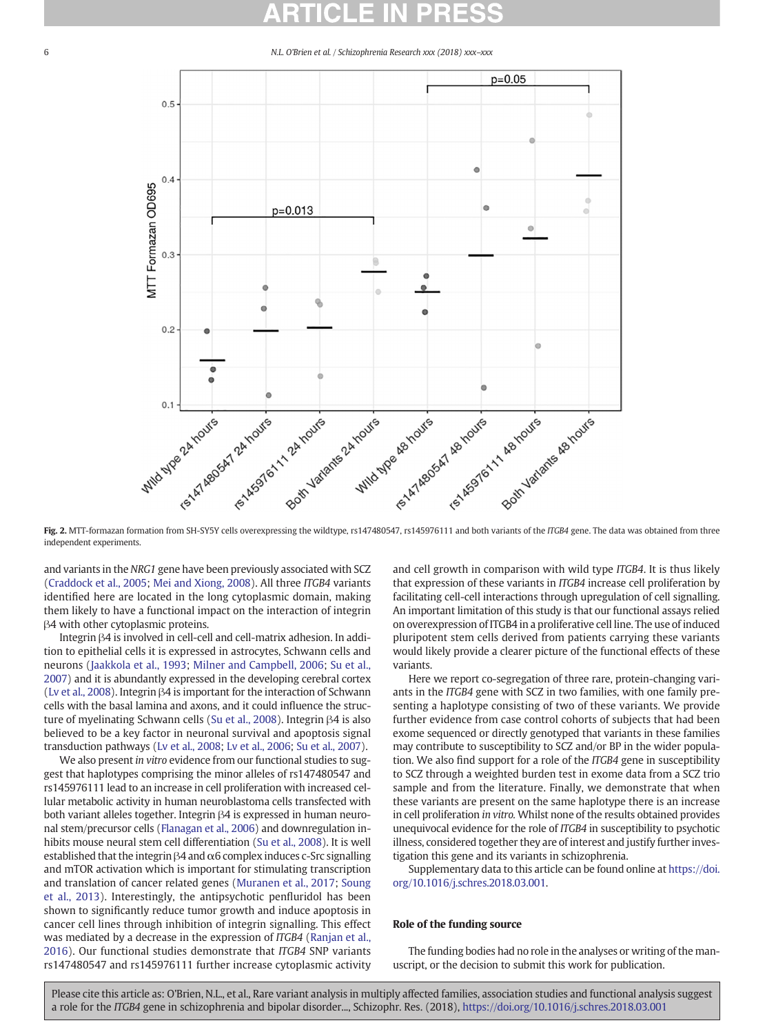

Fig. 2. MTT-formazan formation from SH-SY5Y cells overexpressing the wildtype, rs147480547, rs145976111 and both variants of the ITGB4 gene. The data was obtained from three independent experiments.

and variants in the NRG1 gene have been previously associated with SCZ [\(Craddock et al., 2005;](#page-6-0) [Mei and Xiong, 2008](#page-6-0)). All three ITGB4 variants identified here are located in the long cytoplasmic domain, making them likely to have a functional impact on the interaction of integrin β4 with other cytoplasmic proteins.

Integrin β4 is involved in cell-cell and cell-matrix adhesion. In addition to epithelial cells it is expressed in astrocytes, Schwann cells and neurons ([Jaakkola et al., 1993](#page-6-0); [Milner and Campbell, 2006;](#page-6-0) [Su et al.,](#page-7-0) [2007\)](#page-7-0) and it is abundantly expressed in the developing cerebral cortex [\(Lv et al., 2008\)](#page-6-0). Integrin β4 is important for the interaction of Schwann cells with the basal lamina and axons, and it could influence the structure of myelinating Schwann cells [\(Su et al., 2008](#page-7-0)). Integrin β4 is also believed to be a key factor in neuronal survival and apoptosis signal transduction pathways ([Lv et al., 2008](#page-6-0); [Lv et al., 2006;](#page-6-0) [Su et al., 2007](#page-7-0)).

We also present in vitro evidence from our functional studies to suggest that haplotypes comprising the minor alleles of rs147480547 and rs145976111 lead to an increase in cell proliferation with increased cellular metabolic activity in human neuroblastoma cells transfected with both variant alleles together. Integrin β4 is expressed in human neuronal stem/precursor cells ([Flanagan et al., 2006](#page-6-0)) and downregulation inhibits mouse neural stem cell differentiation [\(Su et al., 2008](#page-7-0)). It is well established that the integrin β4 and α6 complex induces c-Src signalling and mTOR activation which is important for stimulating transcription and translation of cancer related genes ([Muranen et al., 2017](#page-6-0); [Soung](#page-7-0) [et al., 2013\)](#page-7-0). Interestingly, the antipsychotic penfluridol has been shown to significantly reduce tumor growth and induce apoptosis in cancer cell lines through inhibition of integrin signalling. This effect was mediated by a decrease in the expression of ITGB4 [\(Ranjan et al.,](#page-7-0) [2016](#page-7-0)). Our functional studies demonstrate that ITGB4 SNP variants rs147480547 and rs145976111 further increase cytoplasmic activity and cell growth in comparison with wild type ITGB4. It is thus likely that expression of these variants in ITGB4 increase cell proliferation by facilitating cell-cell interactions through upregulation of cell signalling. An important limitation of this study is that our functional assays relied on overexpression of ITGB4 in a proliferative cell line. The use of induced pluripotent stem cells derived from patients carrying these variants would likely provide a clearer picture of the functional effects of these variants.

Here we report co-segregation of three rare, protein-changing variants in the ITGB4 gene with SCZ in two families, with one family presenting a haplotype consisting of two of these variants. We provide further evidence from case control cohorts of subjects that had been exome sequenced or directly genotyped that variants in these families may contribute to susceptibility to SCZ and/or BP in the wider population. We also find support for a role of the ITGB4 gene in susceptibility to SCZ through a weighted burden test in exome data from a SCZ trio sample and from the literature. Finally, we demonstrate that when these variants are present on the same haplotype there is an increase in cell proliferation in vitro. Whilst none of the results obtained provides unequivocal evidence for the role of ITGB4 in susceptibility to psychotic illness, considered together they are of interest and justify further investigation this gene and its variants in schizophrenia.

Supplementary data to this article can be found online at [https://doi.](https://doi.org/10.1016/j.schres.2018.03.001) [org/10.1016/j.schres.2018.03.001.](https://doi.org/10.1016/j.schres.2018.03.001)

### Role of the funding source

The funding bodies had no role in the analyses or writing of the manuscript, or the decision to submit this work for publication.

<span id="page-5-0"></span>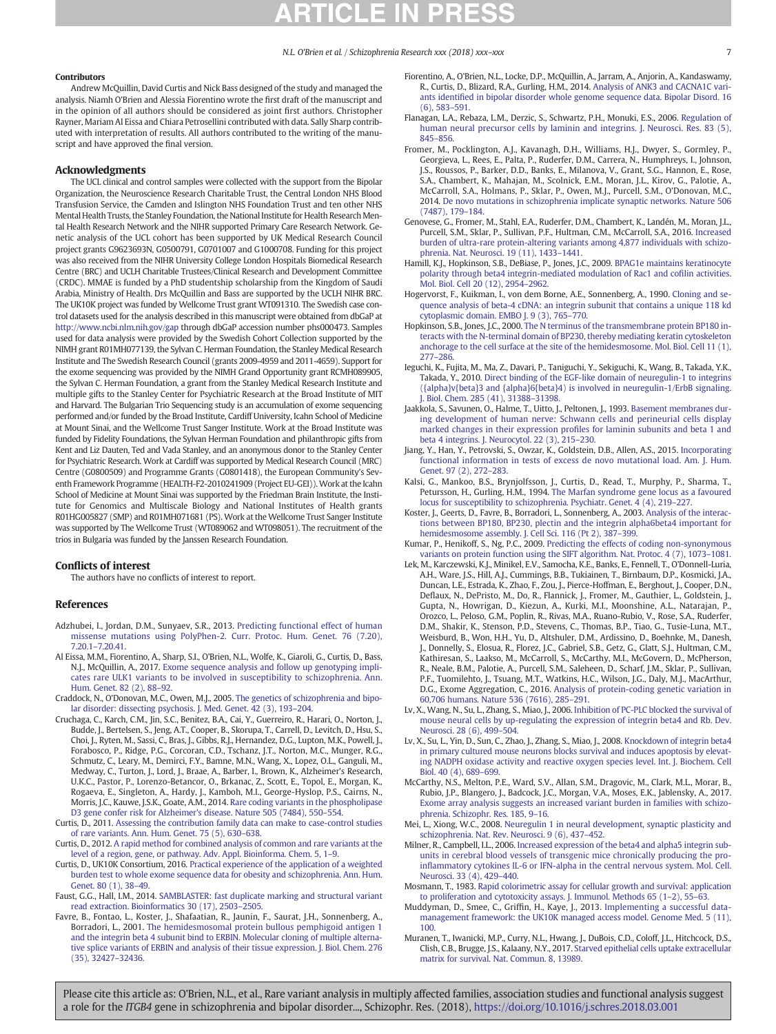#### <span id="page-6-0"></span>Contributors

Andrew McQuillin, David Curtis and Nick Bass designed of the study and managed the analysis. Niamh O'Brien and Alessia Fiorentino wrote the first draft of the manuscript and in the opinion of all authors should be considered as joint first authors. Christopher Rayner, Mariam Al Eissa and Chiara Petrosellini contributed with data. Sally Sharp contributed with interpretation of results. All authors contributed to the writing of the manuscript and have approved the final version.

#### Acknowledgments

The UCL clinical and control samples were collected with the support from the Bipolar Organization, the Neuroscience Research Charitable Trust, the Central London NHS Blood Transfusion Service, the Camden and Islington NHS Foundation Trust and ten other NHS Mental Health Trusts, the Stanley Foundation, the National Institute for Health Research Mental Health Research Network and the NIHR supported Primary Care Research Network. Genetic analysis of the UCL cohort has been supported by UK Medical Research Council project grants G9623693N, G0500791, G0701007 and G1000708. Funding for this project was also received from the NIHR University College London Hospitals Biomedical Research Centre (BRC) and UCLH Charitable Trustees/Clinical Research and Development Committee (CRDC). MMAE is funded by a PhD studentship scholarship from the Kingdom of Saudi Arabia, Ministry of Health. Drs McQuillin and Bass are supported by the UCLH NIHR BRC. The UK10K project was funded by Wellcome Trust grant WT091310. The Swedish case control datasets used for the analysis described in this manuscript were obtained from dbGaP at <http://www.ncbi.nlm.nih.gov/gap> through dbGaP accession number phs000473. Samples used for data analysis were provided by the Swedish Cohort Collection supported by the NIMH grant R01MH077139, the Sylvan C. Herman Foundation, the Stanley Medical Research Institute and The Swedish Research Council (grants 2009-4959 and 2011-4659). Support for the exome sequencing was provided by the NIMH Grand Opportunity grant RCMH089905, the Sylvan C. Herman Foundation, a grant from the Stanley Medical Research Institute and multiple gifts to the Stanley Center for Psychiatric Research at the Broad Institute of MIT and Harvard. The Bulgarian Trio Sequencing study is an accumulation of exome sequencing performed and/or funded by the Broad Institute, Cardiff University, Icahn School of Medicine at Mount Sinai, and the Wellcome Trust Sanger Institute. Work at the Broad Institute was funded by Fidelity Foundations, the Sylvan Herman Foundation and philanthropic gifts from Kent and Liz Dauten, Ted and Vada Stanley, and an anonymous donor to the Stanley Center for Psychiatric Research. Work at Cardiff was supported by Medical Research Council (MRC) Centre (G0800509) and Programme Grants (G0801418), the European Community's Seventh Framework Programme (HEALTH-F2-2010241909 (Project EU-GEI)). Work at the Icahn School of Medicine at Mount Sinai was supported by the Friedman Brain Institute, the Institute for Genomics and Multiscale Biology and National Institutes of Health grants R01HG005827 (SMP) and R01MH071681 (PS). Work at the Wellcome Trust Sanger Institute was supported by The Wellcome Trust (WT089062 and WT098051). The recruitment of the trios in Bulgaria was funded by the Janssen Research Foundation.

#### Conflicts of interest

The authors have no conflicts of interest to report.

#### References

- Adzhubei, I., Jordan, D.M., Sunyaev, S.R., 2013. [Predicting functional effect of human](http://refhub.elsevier.com/S0920-9964(18)30149-X/rf0005) [missense mutations using PolyPhen-2. Curr. Protoc. Hum. Genet. 76 \(7.20\),](http://refhub.elsevier.com/S0920-9964(18)30149-X/rf0005) 7.20.1–[7.20.41](http://refhub.elsevier.com/S0920-9964(18)30149-X/rf0005).
- Al Eissa, M.M., Fiorentino, A., Sharp, S.I., O'Brien, N.L., Wolfe, K., Giaroli, G., Curtis, D., Bass, N.J., McQuillin, A., 2017. [Exome sequence analysis and follow up genotyping impli](http://refhub.elsevier.com/S0920-9964(18)30149-X/rf0010)[cates rare ULK1 variants to be involved in susceptibility to schizophrenia. Ann.](http://refhub.elsevier.com/S0920-9964(18)30149-X/rf0010) [Hum. Genet. 82 \(2\), 88](http://refhub.elsevier.com/S0920-9964(18)30149-X/rf0010)–92.
- Craddock, N., O'Donovan, M.C., Owen, M.J., 2005. [The genetics of schizophrenia and bipo](http://refhub.elsevier.com/S0920-9964(18)30149-X/rf0015)[lar disorder: dissecting psychosis. J. Med. Genet. 42 \(3\), 193](http://refhub.elsevier.com/S0920-9964(18)30149-X/rf0015)–204.
- Cruchaga, C., Karch, C.M., Jin, S.C., Benitez, B.A., Cai, Y., Guerreiro, R., Harari, O., Norton, J., Budde, J., Bertelsen, S., Jeng, A.T., Cooper, B., Skorupa, T., Carrell, D., Levitch, D., Hsu, S., Choi, J., Ryten, M., Sassi, C., Bras, J., Gibbs, R.J., Hernandez, D.G., Lupton, M.K., Powell, J., Forabosco, P., Ridge, P.G., Corcoran, C.D., Tschanz, J.T., Norton, M.C., Munger, R.G., Schmutz, C., Leary, M., Demirci, F.Y., Bamne, M.N., Wang, X., Lopez, O.L., Ganguli, M., Medway, C., Turton, J., Lord, J., Braae, A., Barber, I., Brown, K., Alzheimer's Research, U.K.C., Pastor, P., Lorenzo-Betancor, O., Brkanac, Z., Scott, E., Topol, E., Morgan, K., Rogaeva, E., Singleton, A., Hardy, J., Kamboh, M.I., George-Hyslop, P.S., Cairns, N., Morris, J.C., Kauwe, J.S.K., Goate, A.M., 2014. [Rare coding variants in the phospholipase](http://refhub.elsevier.com/S0920-9964(18)30149-X/rf0020) [D3 gene confer risk for Alzheimer's disease. Nature 505 \(7484\), 550](http://refhub.elsevier.com/S0920-9964(18)30149-X/rf0020)–554.
- Curtis, D., 2011. [Assessing the contribution family data can make to case-control studies](http://refhub.elsevier.com/S0920-9964(18)30149-X/rf0025) [of rare variants. Ann. Hum. Genet. 75 \(5\), 630](http://refhub.elsevier.com/S0920-9964(18)30149-X/rf0025)–638.
- Curtis, D., 2012. [A rapid method for combined analysis of common and rare variants at the](http://refhub.elsevier.com/S0920-9964(18)30149-X/rf0030) [level of a region, gene, or pathway. Adv. Appl. Bioinforma. Chem. 5, 1](http://refhub.elsevier.com/S0920-9964(18)30149-X/rf0030)–9.
- Curtis, D., UK10K Consortium, 2016. [Practical experience of the application of a weighted](http://refhub.elsevier.com/S0920-9964(18)30149-X/rf0035) [burden test to whole exome sequence data for obesity and schizophrenia. Ann. Hum.](http://refhub.elsevier.com/S0920-9964(18)30149-X/rf0035) [Genet. 80 \(1\), 38](http://refhub.elsevier.com/S0920-9964(18)30149-X/rf0035)–49.
- Faust, G.G., Hall, I.M., 2014. [SAMBLASTER: fast duplicate marking and structural variant](http://refhub.elsevier.com/S0920-9964(18)30149-X/rf0040) [read extraction. Bioinformatics 30 \(17\), 2503](http://refhub.elsevier.com/S0920-9964(18)30149-X/rf0040)–2505.
- Favre, B., Fontao, L., Koster, J., Shafaatian, R., Jaunin, F., Saurat, J.H., Sonnenberg, A., Borradori, L., 2001. [The hemidesmosomal protein bullous pemphigoid antigen 1](http://refhub.elsevier.com/S0920-9964(18)30149-X/rf0045) [and the integrin beta 4 subunit bind to ERBIN. Molecular cloning of multiple alterna](http://refhub.elsevier.com/S0920-9964(18)30149-X/rf0045)[tive splice variants of ERBIN and analysis of their tissue expression. J. Biol. Chem. 276](http://refhub.elsevier.com/S0920-9964(18)30149-X/rf0045) [\(35\), 32427](http://refhub.elsevier.com/S0920-9964(18)30149-X/rf0045)–32436.
- Fiorentino, A., O'Brien, N.L., Locke, D.P., McQuillin, A., Jarram, A., Anjorin, A., Kandaswamy, R., Curtis, D., Blizard, R.A., Gurling, H.M., 2014. [Analysis of ANK3 and CACNA1C vari](http://refhub.elsevier.com/S0920-9964(18)30149-X/rf0050)ants identifi[ed in bipolar disorder whole genome sequence data. Bipolar Disord. 16](http://refhub.elsevier.com/S0920-9964(18)30149-X/rf0050) [\(6\), 583](http://refhub.elsevier.com/S0920-9964(18)30149-X/rf0050)–591.
- Flanagan, L.A., Rebaza, L.M., Derzic, S., Schwartz, P.H., Monuki, E.S., 2006. [Regulation of](http://refhub.elsevier.com/S0920-9964(18)30149-X/rf0055) [human neural precursor cells by laminin and integrins. J. Neurosci. Res. 83 \(5\),](http://refhub.elsevier.com/S0920-9964(18)30149-X/rf0055) [845](http://refhub.elsevier.com/S0920-9964(18)30149-X/rf0055)–856.
- Fromer, M., Pocklington, A.J., Kavanagh, D.H., Williams, H.J., Dwyer, S., Gormley, P., Georgieva, L., Rees, E., Palta, P., Ruderfer, D.M., Carrera, N., Humphreys, I., Johnson, J.S., Roussos, P., Barker, D.D., Banks, E., Milanova, V., Grant, S.G., Hannon, E., Rose, S.A., Chambert, K., Mahajan, M., Scolnick, E.M., Moran, J.L., Kirov, G., Palotie, A., McCarroll, S.A., Holmans, P., Sklar, P., Owen, M.J., Purcell, S.M., O'Donovan, M.C., 2014. [De novo mutations in schizophrenia implicate synaptic networks. Nature 506](http://refhub.elsevier.com/S0920-9964(18)30149-X/rf0060) [\(7487\), 179](http://refhub.elsevier.com/S0920-9964(18)30149-X/rf0060)–184.
- Genovese, G., Fromer, M., Stahl, E.A., Ruderfer, D.M., Chambert, K., Landén, M., Moran, J.L., Purcell, S.M., Sklar, P., Sullivan, P.F., Hultman, C.M., McCarroll, S.A., 2016. [Increased](http://refhub.elsevier.com/S0920-9964(18)30149-X/rf0065) [burden of ultra-rare protein-altering variants among 4,877 individuals with schizo](http://refhub.elsevier.com/S0920-9964(18)30149-X/rf0065)[phrenia. Nat. Neurosci. 19 \(11\), 1433](http://refhub.elsevier.com/S0920-9964(18)30149-X/rf0065)–1441.
- Hamill, K.J., Hopkinson, S.B., DeBiase, P., Jones, J.C., 2009. [BPAG1e maintains keratinocyte](http://refhub.elsevier.com/S0920-9964(18)30149-X/rf0070) [polarity through beta4 integrin-mediated modulation of Rac1 and co](http://refhub.elsevier.com/S0920-9964(18)30149-X/rf0070)filin activities. [Mol. Biol. Cell 20 \(12\), 2954](http://refhub.elsevier.com/S0920-9964(18)30149-X/rf0070)–2962.
- Hogervorst, F., Kuikman, I., von dem Borne, A.E., Sonnenberg, A., 1990. [Cloning and se](http://refhub.elsevier.com/S0920-9964(18)30149-X/rf0075)[quence analysis of beta-4 cDNA: an integrin subunit that contains a unique 118 kd](http://refhub.elsevier.com/S0920-9964(18)30149-X/rf0075) [cytoplasmic domain. EMBO J. 9 \(3\), 765](http://refhub.elsevier.com/S0920-9964(18)30149-X/rf0075)–770.
- Hopkinson, S.B., Jones, J.C., 2000. [The N terminus of the transmembrane protein BP180 in](http://refhub.elsevier.com/S0920-9964(18)30149-X/rf0080)[teracts with the N-terminal domain of BP230, thereby mediating keratin cytoskeleton](http://refhub.elsevier.com/S0920-9964(18)30149-X/rf0080) [anchorage to the cell surface at the site of the hemidesmosome. Mol. Biol. Cell 11 \(1\),](http://refhub.elsevier.com/S0920-9964(18)30149-X/rf0080) [277](http://refhub.elsevier.com/S0920-9964(18)30149-X/rf0080)–286.
- Ieguchi, K., Fujita, M., Ma, Z., Davari, P., Taniguchi, Y., Sekiguchi, K., Wang, B., Takada, Y.K., Takada, Y., 2010. [Direct binding of the EGF-like domain of neuregulin-1 to integrins](http://refhub.elsevier.com/S0920-9964(18)30149-X/rf0085) [\({alpha}v{beta}3 and {alpha}6{beta}4\) is involved in neuregulin-1/ErbB signaling.](http://refhub.elsevier.com/S0920-9964(18)30149-X/rf0085) [J. Biol. Chem. 285 \(41\), 31388](http://refhub.elsevier.com/S0920-9964(18)30149-X/rf0085)–31398.
- Jaakkola, S., Savunen, O., Halme, T., Uitto, J., Peltonen, J., 1993. [Basement membranes dur](http://refhub.elsevier.com/S0920-9964(18)30149-X/rf0090)[ing development of human nerve: Schwann cells and perineurial cells display](http://refhub.elsevier.com/S0920-9964(18)30149-X/rf0090) [marked changes in their expression pro](http://refhub.elsevier.com/S0920-9964(18)30149-X/rf0090)files for laminin subunits and beta 1 and [beta 4 integrins. J. Neurocytol. 22 \(3\), 215](http://refhub.elsevier.com/S0920-9964(18)30149-X/rf0090)–230.
- Jiang, Y., Han, Y., Petrovski, S., Owzar, K., Goldstein, D.B., Allen, A.S., 2015. [Incorporating](http://refhub.elsevier.com/S0920-9964(18)30149-X/rf0095) [functional information in tests of excess de novo mutational load. Am. J. Hum.](http://refhub.elsevier.com/S0920-9964(18)30149-X/rf0095) [Genet. 97 \(2\), 272](http://refhub.elsevier.com/S0920-9964(18)30149-X/rf0095)–283.
- Kalsi, G., Mankoo, B.S., Brynjolfsson, J., Curtis, D., Read, T., Murphy, P., Sharma, T., Petursson, H., Gurling, H.M., 1994. [The Marfan syndrome gene locus as a favoured](http://refhub.elsevier.com/S0920-9964(18)30149-X/rf0100) [locus for susceptibility to schizophrenia. Psychiatr. Genet. 4 \(4\), 219](http://refhub.elsevier.com/S0920-9964(18)30149-X/rf0100)–227.
- Koster, J., Geerts, D., Favre, B., Borradori, L., Sonnenberg, A., 2003. [Analysis of the interac](http://refhub.elsevier.com/S0920-9964(18)30149-X/rf0105)[tions between BP180, BP230, plectin and the integrin alpha6beta4 important for](http://refhub.elsevier.com/S0920-9964(18)30149-X/rf0105)
- [hemidesmosome assembly. J. Cell Sci. 116 \(Pt 2\), 387](http://refhub.elsevier.com/S0920-9964(18)30149-X/rf0105)–399. Kumar, P., Henikoff, S., Ng, P.C., 2009. [Predicting the effects of coding non-synonymous](http://refhub.elsevier.com/S0920-9964(18)30149-X/rf0110) [variants on protein function using the SIFT algorithm. Nat. Protoc. 4 \(7\), 1073](http://refhub.elsevier.com/S0920-9964(18)30149-X/rf0110)–1081.
- Lek, M., Karczewski, K.J., Minikel, E.V., Samocha, K.E., Banks, E., Fennell, T., O'Donnell-Luria, A.H., Ware, J.S., Hill, A.J., Cummings, B.B., Tukiainen, T., Birnbaum, D.P., Kosmicki, J.A., Duncan, L.E., Estrada, K., Zhao, F., Zou, J., Pierce-Hoffman, E., Berghout, J., Cooper, D.N., Deflaux, N., DePristo, M., Do, R., Flannick, J., Fromer, M., Gauthier, L., Goldstein, J., Gupta, N., Howrigan, D., Kiezun, A., Kurki, M.I., Moonshine, A.L., Natarajan, P., Orozco, L., Peloso, G.M., Poplin, R., Rivas, M.A., Ruano-Rubio, V., Rose, S.A., Ruderfer, D.M., Shakir, K., Stenson, P.D., Stevens, C., Thomas, B.P., Tiao, G., Tusie-Luna, M.T., Weisburd, B., Won, H.H., Yu, D., Altshuler, D.M., Ardissino, D., Boehnke, M., Danesh, J., Donnelly, S., Elosua, R., Florez, J.C., Gabriel, S.B., Getz, G., Glatt, S.J., Hultman, C.M., Kathiresan, S., Laakso, M., McCarroll, S., McCarthy, M.I., McGovern, D., McPherson, R., Neale, B.M., Palotie, A., Purcell, S.M., Saleheen, D., Scharf, J.M., Sklar, P., Sullivan, P.F., Tuomilehto, J., Tsuang, M.T., Watkins, H.C., Wilson, J.G., Daly, M.J., MacArthur, D.G., Exome Aggregation, C., 2016. [Analysis of protein-coding genetic variation in](http://refhub.elsevier.com/S0920-9964(18)30149-X/rf0115) [60,706 humans. Nature 536 \(7616\), 285](http://refhub.elsevier.com/S0920-9964(18)30149-X/rf0115)–291.
- Lv, X., Wang, N., Su, L., Zhang, S., Miao, J., 2006. [Inhibition of PC-PLC blocked the survival of](http://refhub.elsevier.com/S0920-9964(18)30149-X/rf0120) [mouse neural cells by up-regulating the expression of integrin beta4 and Rb. Dev.](http://refhub.elsevier.com/S0920-9964(18)30149-X/rf0120) [Neurosci. 28 \(6\), 499](http://refhub.elsevier.com/S0920-9964(18)30149-X/rf0120)–504.
- Lv, X., Su, L., Yin, D., Sun, C., Zhao, J., Zhang, S., Miao, J., 2008. [Knockdown of integrin beta4](http://refhub.elsevier.com/S0920-9964(18)30149-X/rf0125) [in primary cultured mouse neurons blocks survival and induces apoptosis by elevat](http://refhub.elsevier.com/S0920-9964(18)30149-X/rf0125)[ing NADPH oxidase activity and reactive oxygen species level. Int. J. Biochem. Cell](http://refhub.elsevier.com/S0920-9964(18)30149-X/rf0125) [Biol. 40 \(4\), 689](http://refhub.elsevier.com/S0920-9964(18)30149-X/rf0125)–699.
- McCarthy, N.S., Melton, P.E., Ward, S.V., Allan, S.M., Dragovic, M., Clark, M.L., Morar, B., Rubio, J.P., Blangero, J., Badcock, J.C., Morgan, V.A., Moses, E.K., Jablensky, A., 2017. [Exome array analysis suggests an increased variant burden in families with schizo](http://refhub.elsevier.com/S0920-9964(18)30149-X/rf0130)[phrenia. Schizophr. Res. 185, 9](http://refhub.elsevier.com/S0920-9964(18)30149-X/rf0130)–16.
- Mei, L., Xiong, W.C., 2008. [Neuregulin 1 in neural development, synaptic plasticity and](http://refhub.elsevier.com/S0920-9964(18)30149-X/rf0135) [schizophrenia. Nat. Rev. Neurosci. 9 \(6\), 437](http://refhub.elsevier.com/S0920-9964(18)30149-X/rf0135)–452.
- Milner, R., Campbell, I.L., 2006. [Increased expression of the beta4 and alpha5 integrin sub](http://refhub.elsevier.com/S0920-9964(18)30149-X/rf0140)[units in cerebral blood vessels of transgenic mice chronically producing the pro](http://refhub.elsevier.com/S0920-9964(18)30149-X/rf0140)infl[ammatory cytokines IL-6 or IFN-alpha in the central nervous system. Mol. Cell.](http://refhub.elsevier.com/S0920-9964(18)30149-X/rf0140) [Neurosci. 33 \(4\), 429](http://refhub.elsevier.com/S0920-9964(18)30149-X/rf0140)–440.
- Mosmann, T., 1983. [Rapid colorimetric assay for cellular growth and survival: application](http://refhub.elsevier.com/S0920-9964(18)30149-X/rf0145) [to proliferation and cytotoxicity assays. J. Immunol. Methods 65 \(1](http://refhub.elsevier.com/S0920-9964(18)30149-X/rf0145)–2), 55–63.
- Muddyman, D., Smee, C., Griffin, H., Kaye, J., 2013. [Implementing a successful data](http://refhub.elsevier.com/S0920-9964(18)30149-X/rf0150)[management framework: the UK10K managed access model. Genome Med. 5 \(11\),](http://refhub.elsevier.com/S0920-9964(18)30149-X/rf0150) [100](http://refhub.elsevier.com/S0920-9964(18)30149-X/rf0150).
- Muranen, T., Iwanicki, M.P., Curry, N.L., Hwang, J., DuBois, C.D., Coloff, J.L., Hitchcock, D.S., Clish, C.B., Brugge, J.S., Kalaany, N.Y., 2017. [Starved epithelial cells uptake extracellular](http://refhub.elsevier.com/S0920-9964(18)30149-X/rf0155) [matrix for survival. Nat. Commun. 8, 13989.](http://refhub.elsevier.com/S0920-9964(18)30149-X/rf0155)